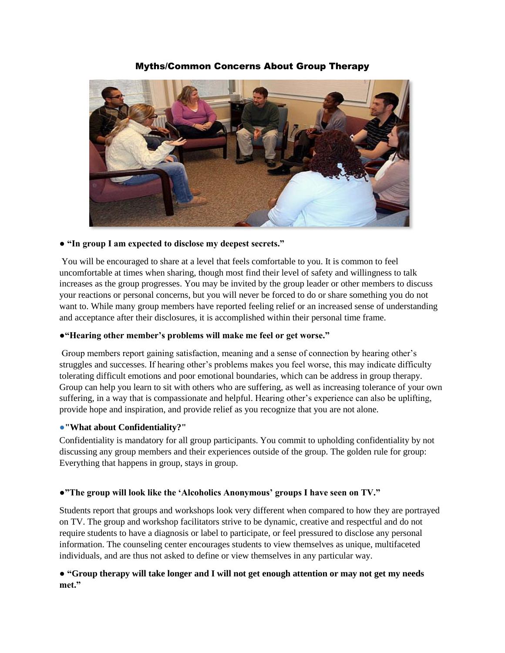Myths/Common Concerns About Group Therapy



## ● **"In group I am expected to disclose my deepest secrets."**

You will be encouraged to share at a level that feels comfortable to you. It is common to feel uncomfortable at times when sharing, though most find their level of safety and willingness to talk increases as the group progresses. You may be invited by the group leader or other members to discuss your reactions or personal concerns, but you will never be forced to do or share something you do not want to. While many group members have reported feeling relief or an increased sense of understanding and acceptance after their disclosures, it is accomplished within their personal time frame.

#### ●**"Hearing other member's problems will make me feel or get worse."**

Group members report gaining satisfaction, meaning and a sense of connection by hearing other's struggles and successes. If hearing other's problems makes you feel worse, this may indicate difficulty tolerating difficult emotions and poor emotional boundaries, which can be address in group therapy. Group can help you learn to sit with others who are suffering, as well as increasing tolerance of your own suffering, in a way that is compassionate and helpful. Hearing other's experience can also be uplifting, provide hope and inspiration, and provide relief as you recognize that you are not alone.

#### ●**"What about Confidentiality?"**

Confidentiality is mandatory for all group participants. You commit to upholding confidentiality by not discussing any group members and their experiences outside of the group. The golden rule for group: Everything that happens in group, stays in group.

## ●**"The group will look like the 'Alcoholics Anonymous' groups I have seen on TV."**

Students report that groups and workshops look very different when compared to how they are portrayed on TV. The group and workshop facilitators strive to be dynamic, creative and respectful and do not require students to have a diagnosis or label to participate, or feel pressured to disclose any personal information. The counseling center encourages students to view themselves as unique, multifaceted individuals, and are thus not asked to define or view themselves in any particular way.

# ● **"Group therapy will take longer and I will not get enough attention or may not get my needs met."**